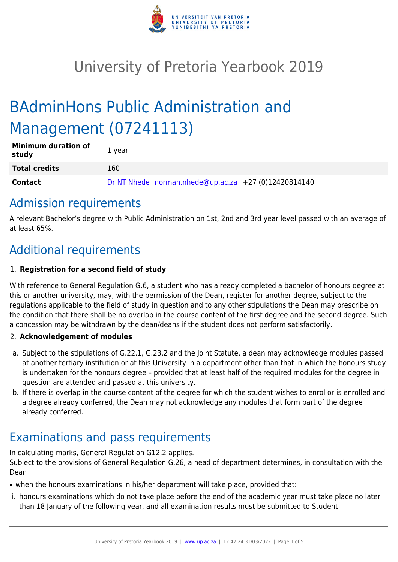

# University of Pretoria Yearbook 2019

# BAdminHons Public Administration and Management (07241113)

| <b>Minimum duration of</b><br>study | 1 year                                               |
|-------------------------------------|------------------------------------------------------|
| <b>Total credits</b>                | 160                                                  |
| <b>Contact</b>                      | Dr NT Nhede norman.nhede@up.ac.za +27 (0)12420814140 |

# Admission requirements

A relevant Bachelor's degree with Public Administration on 1st, 2nd and 3rd year level passed with an average of at least 65%.

# Additional requirements

## 1. **Registration for a second field of study**

With reference to General Regulation G.6, a student who has already completed a bachelor of honours degree at this or another university, may, with the permission of the Dean, register for another degree, subject to the regulations applicable to the field of study in question and to any other stipulations the Dean may prescribe on the condition that there shall be no overlap in the course content of the first degree and the second degree. Such a concession may be withdrawn by the dean/deans if the student does not perform satisfactorily.

### 2. **Acknowledgement of modules**

- a. Subject to the stipulations of G.22.1, G.23.2 and the Joint Statute, a dean may acknowledge modules passed at another tertiary institution or at this University in a department other than that in which the honours study is undertaken for the honours degree – provided that at least half of the required modules for the degree in question are attended and passed at this university.
- b. If there is overlap in the course content of the degree for which the student wishes to enrol or is enrolled and a degree already conferred, the Dean may not acknowledge any modules that form part of the degree already conferred.

# Examinations and pass requirements

In calculating marks, General Regulation G12.2 applies.

Subject to the provisions of General Regulation G.26, a head of department determines, in consultation with the Dean

- when the honours examinations in his/her department will take place, provided that:
- i. honours examinations which do not take place before the end of the academic year must take place no later than 18 January of the following year, and all examination results must be submitted to Student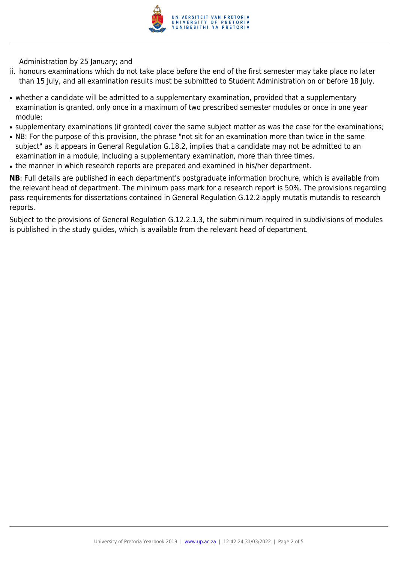

Administration by 25 January; and

- ii. honours examinations which do not take place before the end of the first semester may take place no later than 15 July, and all examination results must be submitted to Student Administration on or before 18 July.
- whether a candidate will be admitted to a supplementary examination, provided that a supplementary examination is granted, only once in a maximum of two prescribed semester modules or once in one year module;
- supplementary examinations (if granted) cover the same subject matter as was the case for the examinations;
- NB: For the purpose of this provision, the phrase "not sit for an examination more than twice in the same subject" as it appears in General Regulation G.18.2, implies that a candidate may not be admitted to an examination in a module, including a supplementary examination, more than three times.
- the manner in which research reports are prepared and examined in his/her department.

**NB**: Full details are published in each department's postgraduate information brochure, which is available from the relevant head of department. The minimum pass mark for a research report is 50%. The provisions regarding pass requirements for dissertations contained in General Regulation G.12.2 apply mutatis mutandis to research reports.

Subject to the provisions of General Regulation G.12.2.1.3, the subminimum required in subdivisions of modules is published in the study guides, which is available from the relevant head of department.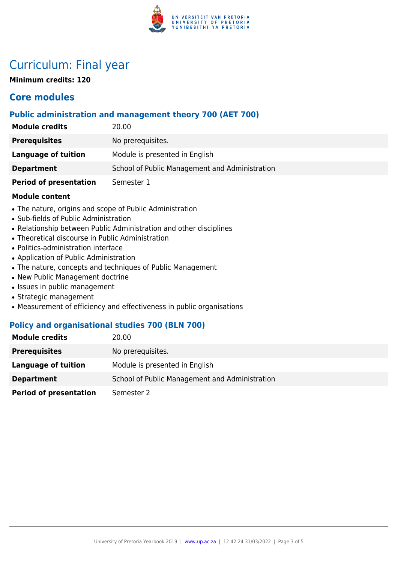

# Curriculum: Final year

**Minimum credits: 120**

## **Core modules**

### **Public administration and management theory 700 (AET 700)**

| <b>Module credits</b>         | 20.00                                          |
|-------------------------------|------------------------------------------------|
| <b>Prerequisites</b>          | No prerequisites.                              |
| Language of tuition           | Module is presented in English                 |
| <b>Department</b>             | School of Public Management and Administration |
| <b>Period of presentation</b> | Semester 1                                     |

#### **Module content**

- The nature, origins and scope of Public Administration
- Sub-fields of Public Administration
- Relationship between Public Administration and other disciplines
- Theoretical discourse in Public Administration
- Politics-administration interface
- Application of Public Administration
- The nature, concepts and techniques of Public Management
- New Public Management doctrine
- Issues in public management
- Strategic management
- Measurement of efficiency and effectiveness in public organisations

### **Policy and organisational studies 700 (BLN 700)**

| <b>Module credits</b>         | 20.00                                          |
|-------------------------------|------------------------------------------------|
| <b>Prerequisites</b>          | No prerequisites.                              |
| Language of tuition           | Module is presented in English                 |
| <b>Department</b>             | School of Public Management and Administration |
| <b>Period of presentation</b> | Semester 2                                     |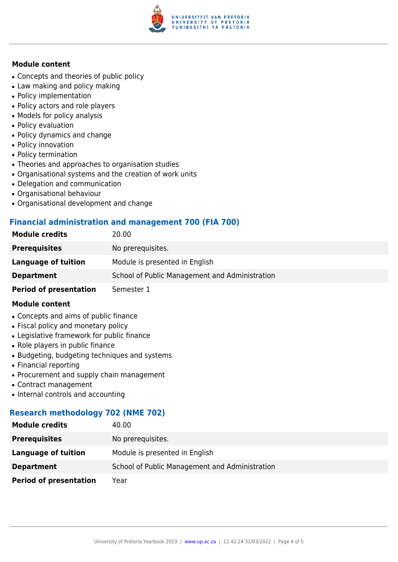

#### **Module content**

- Concepts and theories of public policy
- Law making and policy making
- Policy implementation
- Policy actors and role players
- Models for policy analysis
- Policy evaluation
- Policy dynamics and change
- Policy innovation
- Policy termination
- Theories and approaches to organisation studies
- Organisational systems and the creation of work units
- Delegation and communication
- Organisational behaviour
- Organisational development and change

#### **Financial administration and management 700 (FIA 700)**

| <b>Module credits</b>         | 20.00                                          |
|-------------------------------|------------------------------------------------|
| <b>Prerequisites</b>          | No prerequisites.                              |
| Language of tuition           | Module is presented in English                 |
| <b>Department</b>             | School of Public Management and Administration |
| <b>Period of presentation</b> | Semester 1                                     |

#### **Module content**

- Concepts and aims of public finance
- Fiscal policy and monetary policy
- Legislative framework for public finance
- Role players in public finance
- Budgeting, budgeting techniques and systems
- Financial reporting
- Procurement and supply chain management
- Contract management
- Internal controls and accounting

### **Research methodology 702 (NME 702)**

| <b>Module credits</b>         | 40.00                                          |
|-------------------------------|------------------------------------------------|
| <b>Prerequisites</b>          | No prerequisites.                              |
| <b>Language of tuition</b>    | Module is presented in English                 |
| <b>Department</b>             | School of Public Management and Administration |
| <b>Period of presentation</b> | Year                                           |